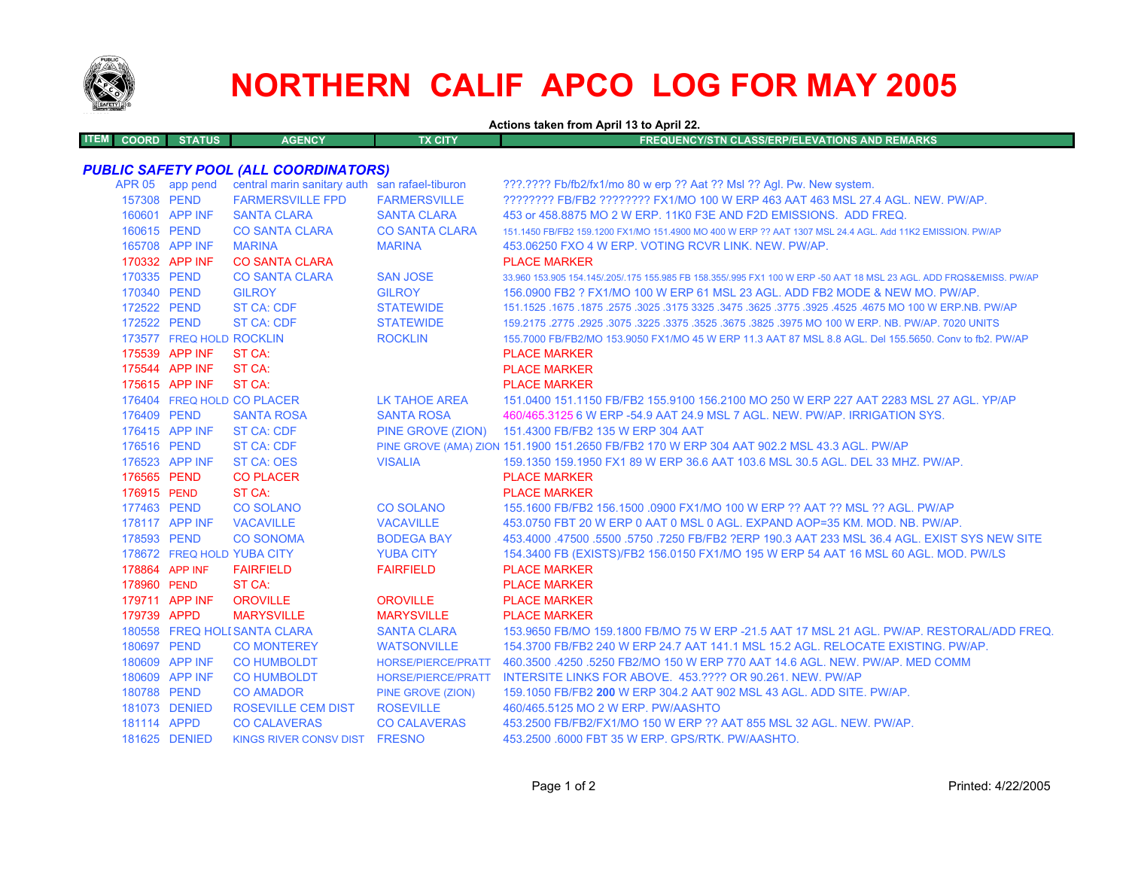

## **NORTHERN CALIF APCO LOG FOR MAY 2005**

**Actions taken from April 13 to April 22.**

| ITEM COORD | <b>STATUS</b> | <b>AGENCY</b> | TX CITY | $\blacktriangle$ FREQUENCY/STN CLASS/ERP/ELEVATIONS AND REMARKS $\P$ |
|------------|---------------|---------------|---------|----------------------------------------------------------------------|

## *PUBLIC SAFETY POOL (ALL COORDINATORS)*

|             | APR 05 app pend          | central marin sanitary auth san rafael-tiburon |                           | ???.???? Fb/fb2/fx1/mo 80 w erp ?? Aat ?? Msl ?? Agl. Pw. New system.                                               |
|-------------|--------------------------|------------------------------------------------|---------------------------|---------------------------------------------------------------------------------------------------------------------|
| 157308 PEND |                          | <b>FARMERSVILLE FPD</b>                        | <b>FARMERSVILLE</b>       | ???????? FB/FB2 ???????? FX1/MO 100 W ERP 463 AAT 463 MSL 27.4 AGL, NEW, PW/AP,                                     |
|             | 160601 APP INF           | <b>SANTA CLARA</b>                             | <b>SANTA CLARA</b>        | 453 or 458,8875 MO 2 W ERP, 11K0 F3E AND F2D EMISSIONS. ADD FREQ.                                                   |
| 160615 PEND |                          | <b>CO SANTA CLARA</b>                          | <b>CO SANTA CLARA</b>     | 151.1450 FB/FB2 159.1200 FX1/MO 151.4900 MO 400 W ERP ?? AAT 1307 MSL 24.4 AGL, Add 11K2 EMISSION, PW/AP            |
|             | 165708 APP INF           | <b>MARINA</b>                                  | <b>MARINA</b>             | 453.06250 FXO 4 W ERP. VOTING RCVR LINK, NEW, PW/AP.                                                                |
|             | 170332 APP INF           | <b>CO SANTA CLARA</b>                          |                           | <b>PLACE MARKER</b>                                                                                                 |
| 170335 PEND |                          | <b>CO SANTA CLARA</b>                          | <b>SAN JOSE</b>           | 33,960 153,905 154,145/.205/.175 155,985 FB 158,355/.995 FX1 100 W ERP -50 AAT 18 MSL 23 AGL, ADD FRQS&EMISS, PW/AP |
| 170340 PEND |                          | <b>GILROY</b>                                  | <b>GILROY</b>             | 156,0900 FB2 ? FX1/MO 100 W ERP 61 MSL 23 AGL, ADD FB2 MODE & NEW MO, PW/AP.                                        |
| 172522 PEND |                          | <b>ST CA: CDF</b>                              | <b>STATEWIDE</b>          | 151.1525 .1675 .1675 .3025 .3475 .3625 .3775 .3625 .3775 .3925 .3775 .3925 .3175 .1675 .1675 .1675 .                |
| 172522 PEND |                          | ST CA: CDF                                     | <b>STATEWIDE</b>          | 159,2175,2775,2925,3075,3225,3375,3525,3675,3825,3975 MO 100 W ERP, NB, PW/AP, 7020 UNITS                           |
|             | 173577 FREQ HOLD ROCKLIN |                                                | <b>ROCKLIN</b>            | 155.7000 FB/FB2/MO 153.9050 FX1/MO 45 W ERP 11.3 AAT 87 MSL 8.8 AGL. Del 155.5650. Conv to fb2. PW/AP               |
|             | 175539 APP INF           | ST CA:                                         |                           | <b>PLACE MARKER</b>                                                                                                 |
|             | 175544 APP INF           | ST CA:                                         |                           | <b>PLACE MARKER</b>                                                                                                 |
|             | 175615 APP INF           | ST CA:                                         |                           | <b>PLACE MARKER</b>                                                                                                 |
|             |                          | 176404 FREQ HOLD CO PLACER                     | <b>LK TAHOE AREA</b>      | 151,0400 151,1150 FB/FB2 155,9100 156,2100 MO 250 W ERP 227 AAT 2283 MSL 27 AGL, YP/AP                              |
| 176409 PEND |                          | <b>SANTA ROSA</b>                              | <b>SANTA ROSA</b>         | 460/465.3125 6 W ERP -54.9 AAT 24.9 MSL 7 AGL. NEW. PW/AP. IRRIGATION SYS.                                          |
|             | 176415 APP INF           | <b>ST CA: CDF</b>                              | PINE GROVE (ZION)         | 151.4300 FB/FB2 135 W ERP 304 AAT                                                                                   |
| 176516 PEND |                          | <b>ST CA: CDF</b>                              |                           | PINE GROVE (AMA) ZION 151.1900 151.2650 FB/FB2 170 W ERP 304 AAT 902.2 MSL 43.3 AGL. PW/AP                          |
|             | 176523 APP INF           | <b>ST CA: OES</b>                              | <b>VISALIA</b>            | 159.1350 159.1950 FX1 89 W ERP 36.6 AAT 103.6 MSL 30.5 AGL, DEL 33 MHZ, PW/AP,                                      |
| 176565 PEND |                          | <b>CO PLACER</b>                               |                           | <b>PLACE MARKER</b>                                                                                                 |
| 176915 PEND |                          | ST CA:                                         |                           | <b>PLACE MARKER</b>                                                                                                 |
| 177463 PEND |                          | <b>CO SOLANO</b>                               | <b>CO SOLANO</b>          | 155.1600 FB/FB2 156.1500 .0900 FX1/MO 100 W ERP ?? AAT ?? MSL ?? AGL. PW/AP                                         |
|             | 178117 APP INF           | <b>VACAVILLE</b>                               | <b>VACAVILLE</b>          | 453.0750 FBT 20 W ERP 0 AAT 0 MSL 0 AGL, EXPAND AOP=35 KM, MOD, NB, PW/AP,                                          |
| 178593 PEND |                          | <b>CO SONOMA</b>                               | <b>BODEGA BAY</b>         | 453,4000 .47500 .5500 .5750 .7250 FB/FB2 ?ERP 190.3 AAT 233 MSL 36.4 AGL. EXIST SYS NEW SITE                        |
|             |                          | 178672 FREQ HOLD YUBA CITY                     | <b>YUBA CITY</b>          | 154.3400 FB (EXISTS)/FB2 156.0150 FX1/MO 195 W ERP 54 AAT 16 MSL 60 AGL. MOD. PW/LS                                 |
|             | 178864 APP INF           | <b>FAIRFIELD</b>                               | <b>FAIRFIELD</b>          | <b>PLACE MARKER</b>                                                                                                 |
| 178960 PEND |                          | ST CA:                                         |                           | <b>PLACE MARKER</b>                                                                                                 |
|             | 179711 APP INF           | <b>OROVILLE</b>                                | <b>OROVILLE</b>           | <b>PLACE MARKER</b>                                                                                                 |
| 179739 APPD |                          | <b>MARYSVILLE</b>                              | <b>MARYSVILLE</b>         | <b>PLACE MARKER</b>                                                                                                 |
|             |                          | 180558 FREQ HOLI SANTA CLARA                   | <b>SANTA CLARA</b>        | 153,9650 FB/MO 159,1800 FB/MO 75 W ERP -21.5 AAT 17 MSL 21 AGL, PW/AP, RESTORAL/ADD FREQ                            |
| 180697 PEND |                          | <b>CO MONTEREY</b>                             | <b>WATSONVILLE</b>        | 154.3700 FB/FB2 240 W ERP 24.7 AAT 141.1 MSL 15.2 AGL. RELOCATE EXISTING, PW/AP.                                    |
|             | 180609 APP INF           | <b>CO HUMBOLDT</b>                             | <b>HORSE/PIERCE/PRATT</b> | 460.3500 .4250 .5250 FB2/MO 150 W ERP 770 AAT 14.6 AGL. NEW. PW/AP. MED COMM                                        |
|             | 180609 APP INF           | <b>CO HUMBOLDT</b>                             | <b>HORSE/PIERCE/PRATT</b> | INTERSITE LINKS FOR ABOVE. 453.???? OR 90.261. NEW. PW/AP                                                           |
| 180788 PEND |                          | <b>CO AMADOR</b>                               | PINE GROVE (ZION)         | 159.1050 FB/FB2 200 W ERP 304.2 AAT 902 MSL 43 AGL, ADD SITE, PW/AP.                                                |
|             | 181073 DENIED            | <b>ROSEVILLE CEM DIST</b>                      | <b>ROSEVILLE</b>          | 460/465.5125 MO 2 W ERP. PW/AASHTO                                                                                  |
| 181114 APPD |                          | <b>CO CALAVERAS</b>                            | <b>CO CALAVERAS</b>       | 453.2500 FB/FB2/FX1/MO 150 W ERP ?? AAT 855 MSL 32 AGL, NEW, PW/AP.                                                 |
|             | 181625 DENIED            | KINGS RIVER CONSV DIST FRESNO                  |                           | 453.2500 .6000 FBT 35 W ERP. GPS/RTK. PW/AASHTO.                                                                    |